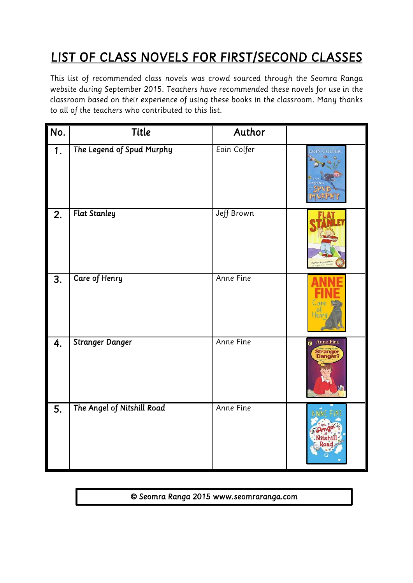## **LIST OF CLASS NOVELS FOR FIRST/SECOND CLASSES**<br>This list of recommended class novels was crowd sourced through the Seomra Ranga

website during September 2015. Teachers have recommended these novels for use in the classroom based on their experience of using these books in the classroom. Many thanks *call of the teachers who contributed to this list to all of the teachers who contributed to this list.*

| No.              | <b>Title</b>               | Author           |                                                |
|------------------|----------------------------|------------------|------------------------------------------------|
| $\overline{1}$ . | The Legend of Spud Murphy  | Eoin Colfer      | <b>EOIN COLFER</b>                             |
| 2.               | <b>Flat Stanley</b>        | Jeff Brown       |                                                |
| 3.               | Care of Henry              | <b>Anne Fine</b> | ⊤en                                            |
| 4.               | <b>Stranger Danger</b>     | Anne Fine        | <b>Anne Fine</b><br><b>Stranger</b><br>Danger? |
| 5.               | The Angel of Nitshill Road | Anne Fine        |                                                |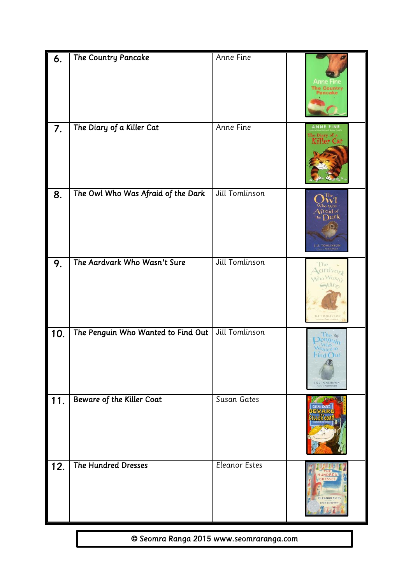| 6.  | The Country Pancake                | Anne Fine             | he Country<br><b>lancake</b>                                                                               |
|-----|------------------------------------|-----------------------|------------------------------------------------------------------------------------------------------------|
| 7.  | The Diary of a Killer Cat          | Anne Fine             | <b>NNF</b><br>The Diary of a<br>Killer Cal                                                                 |
| 8.  | The Owl Who Was Afraid of the Dark | Jill Tomlinson        | $\overline{\mathrm{A}}$ fraid of<br>aark<br>the<br><b>JILL TOMLINSON</b><br>to Paul Hous                   |
| 9.  | The Aardvark Who Wasn't Sure       | <b>Jill Tomlinson</b> | $drdv_{Gr}$<br><b>JILL TOMLINSON</b>                                                                       |
| 10. | The Penguin Who Wanted to Find Out | Jill Tomlinson        | ne by<br>Wanted to<br><sup>4</sup> ind C<br>$\overline{u}$<br><b>IILL TOMLINSON</b><br>nouse a Paul Howard |
| 11. | Beware of the Killer Coat          | Susan Gates           | <b>USAN GATE</b>                                                                                           |
| 12. | The Hundred Dresses                | Eleanor Estes         | EANOR ESTE!                                                                                                |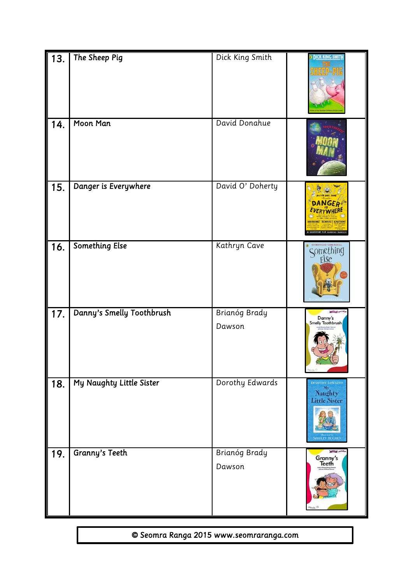| 13. | The Sheep Pig             | Dick King Smith         | <b>a DICK KING-SMITH</b>                                                              |
|-----|---------------------------|-------------------------|---------------------------------------------------------------------------------------|
| 14. | Moon Man                  | David Donahue           |                                                                                       |
| 15. | Danger is Everywhere      | David O' Doherty        | <b>DANGER</b>                                                                         |
| 16. | <b>Something Else</b>     | Kathryn Cave            | Something                                                                             |
| 17. | Danny's Smelly Toothbrush | Brianóg Brady<br>Dawson | <b>OWEN ON</b><br>Danny's<br>Smelly Toothbrush                                        |
| 18. | My Naughty Little Sister  | Dorothy Edwards         | DOROTHY EDWARDS<br><sup>My</sup><br>Naughty<br>Little Sister<br><b>SHIRLEY HUGHES</b> |
| 19. | <b>Granny's Teeth</b>     | Brianóg Brady<br>Dawson | <b>Solidad</b> pands<br>Granny's<br>Teeth                                             |